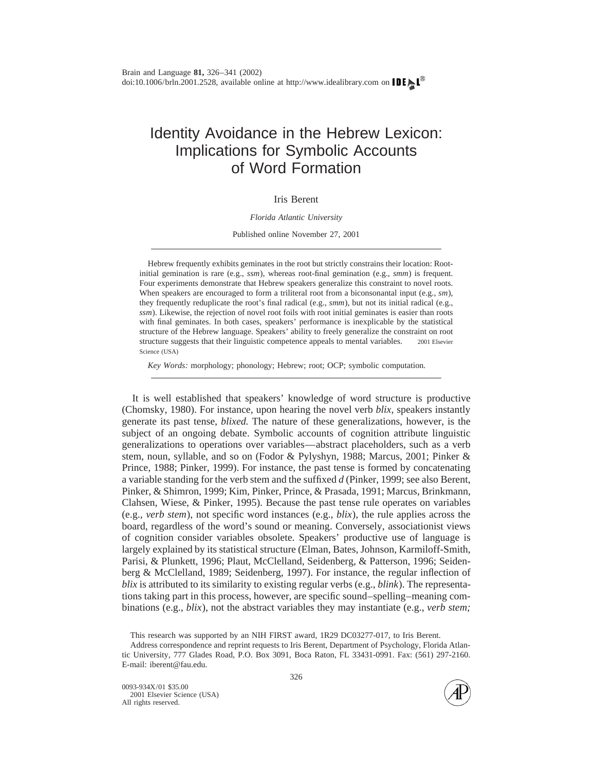# Identity Avoidance in the Hebrew Lexicon: Implications for Symbolic Accounts of Word Formation

Iris Berent

*Florida Atlantic University*

Published online November 27, 2001

Hebrew frequently exhibits geminates in the root but strictly constrains their location: Rootinitial gemination is rare (e.g., *ssm*), whereas root-final gemination (e.g., *smm*) is frequent. Four experiments demonstrate that Hebrew speakers generalize this constraint to novel roots. When speakers are encouraged to form a triliteral root from a biconsonantal input (e.g., *sm*), they frequently reduplicate the root's final radical (e.g., *smm*), but not its initial radical (e.g., *ssm*). Likewise, the rejection of novel root foils with root initial geminates is easier than roots with final geminates. In both cases, speakers' performance is inexplicable by the statistical structure of the Hebrew language. Speakers' ability to freely generalize the constraint on root structure suggests that their linguistic competence appeals to mental variables.  $\circ$  2001 Elsevier Science (USA)

*Key Words:* morphology; phonology; Hebrew; root; OCP; symbolic computation.

It is well established that speakers' knowledge of word structure is productive (Chomsky, 1980). For instance, upon hearing the novel verb *blix,* speakers instantly generate its past tense, *blixed.* The nature of these generalizations, however, is the subject of an ongoing debate. Symbolic accounts of cognition attribute linguistic generalizations to operations over variables—abstract placeholders, such as a verb stem, noun, syllable, and so on (Fodor & Pylyshyn, 1988; Marcus, 2001; Pinker & Prince, 1988; Pinker, 1999). For instance, the past tense is formed by concatenating a variable standing for the verb stem and the suffixed *d* (Pinker, 1999; see also Berent, Pinker, & Shimron, 1999; Kim, Pinker, Prince, & Prasada, 1991; Marcus, Brinkmann, Clahsen, Wiese, & Pinker, 1995). Because the past tense rule operates on variables (e.g., *verb stem*), not specific word instances (e.g., *blix*), the rule applies across the board, regardless of the word's sound or meaning. Conversely, associationist views of cognition consider variables obsolete. Speakers' productive use of language is largely explained by its statistical structure (Elman, Bates, Johnson, Karmiloff-Smith, Parisi, & Plunkett, 1996; Plaut, McClelland, Seidenberg, & Patterson, 1996; Seidenberg & McClelland, 1989; Seidenberg, 1997). For instance, the regular inflection of *blix* is attributed to its similarity to existing regular verbs (e.g., *blink*). The representations taking part in this process, however, are specific sound–spelling–meaning combinations (e.g., *blix*), not the abstract variables they may instantiate (e.g., *verb stem;*



This research was supported by an NIH FIRST award, 1R29 DC03277-017, to Iris Berent.

Address correspondence and reprint requests to Iris Berent, Department of Psychology, Florida Atlantic University, 777 Glades Road, P.O. Box 3091, Boca Raton, FL 33431-0991. Fax: (561) 297-2160. E-mail: iberent@fau.edu.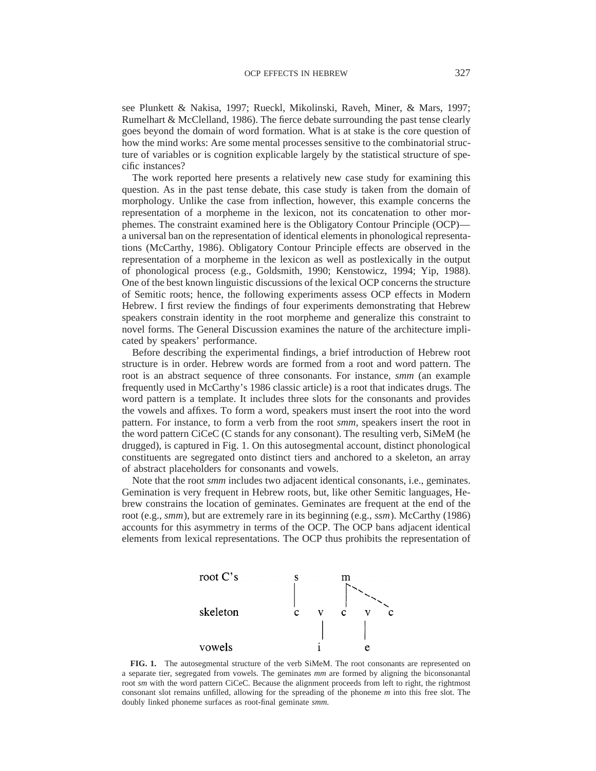see Plunkett & Nakisa, 1997; Rueckl, Mikolinski, Raveh, Miner, & Mars, 1997; Rumelhart & McClelland, 1986). The fierce debate surrounding the past tense clearly goes beyond the domain of word formation. What is at stake is the core question of how the mind works: Are some mental processes sensitive to the combinatorial structure of variables or is cognition explicable largely by the statistical structure of specific instances?

The work reported here presents a relatively new case study for examining this question. As in the past tense debate, this case study is taken from the domain of morphology. Unlike the case from inflection, however, this example concerns the representation of a morpheme in the lexicon, not its concatenation to other morphemes. The constraint examined here is the Obligatory Contour Principle (OCP) a universal ban on the representation of identical elements in phonological representations (McCarthy, 1986). Obligatory Contour Principle effects are observed in the representation of a morpheme in the lexicon as well as postlexically in the output of phonological process (e.g., Goldsmith, 1990; Kenstowicz, 1994; Yip, 1988). One of the best known linguistic discussions of the lexical OCP concerns the structure of Semitic roots; hence, the following experiments assess OCP effects in Modern Hebrew. I first review the findings of four experiments demonstrating that Hebrew speakers constrain identity in the root morpheme and generalize this constraint to novel forms. The General Discussion examines the nature of the architecture implicated by speakers' performance.

Before describing the experimental findings, a brief introduction of Hebrew root structure is in order. Hebrew words are formed from a root and word pattern. The root is an abstract sequence of three consonants. For instance, *smm* (an example frequently used in McCarthy's 1986 classic article) is a root that indicates drugs. The word pattern is a template. It includes three slots for the consonants and provides the vowels and affixes. To form a word, speakers must insert the root into the word pattern. For instance, to form a verb from the root *smm,* speakers insert the root in the word pattern CiCeC (C stands for any consonant). The resulting verb, SiMeM (he drugged), is captured in Fig. 1. On this autosegmental account, distinct phonological constituents are segregated onto distinct tiers and anchored to a skeleton, an array of abstract placeholders for consonants and vowels.

Note that the root *smm* includes two adjacent identical consonants, i.e., geminates. Gemination is very frequent in Hebrew roots, but, like other Semitic languages, Hebrew constrains the location of geminates. Geminates are frequent at the end of the root (e.g., *smm*), but are extremely rare in its beginning (e.g., *ssm*). McCarthy (1986) accounts for this asymmetry in terms of the OCP. The OCP bans adjacent identical elements from lexical representations. The OCP thus prohibits the representation of



**FIG. 1.** The autosegmental structure of the verb SiMeM. The root consonants are represented on a separate tier, segregated from vowels. The geminates *mm* are formed by aligning the biconsonantal root *sm* with the word pattern CiCeC. Because the alignment proceeds from left to right, the rightmost consonant slot remains unfilled, allowing for the spreading of the phoneme *m* into this free slot. The doubly linked phoneme surfaces as root-final geminate *smm.*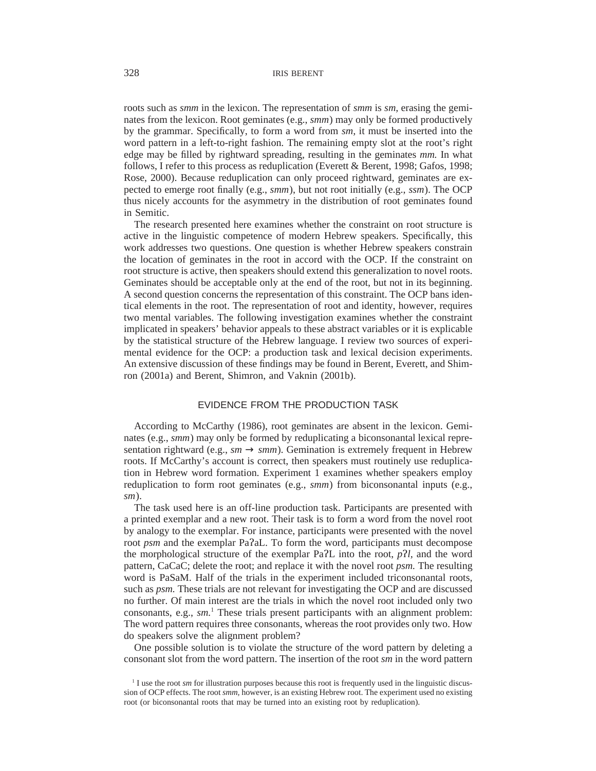roots such as *smm* in the lexicon. The representation of *smm* is *sm,* erasing the geminates from the lexicon. Root geminates (e.g., *smm*) may only be formed productively by the grammar. Specifically, to form a word from *sm,* it must be inserted into the word pattern in a left-to-right fashion. The remaining empty slot at the root's right edge may be filled by rightward spreading, resulting in the geminates *mm.* In what follows, I refer to this process as reduplication (Everett & Berent, 1998; Gafos, 1998; Rose, 2000). Because reduplication can only proceed rightward, geminates are expected to emerge root finally (e.g., *smm*), but not root initially (e.g., *ssm*). The OCP thus nicely accounts for the asymmetry in the distribution of root geminates found in Semitic.

The research presented here examines whether the constraint on root structure is active in the linguistic competence of modern Hebrew speakers. Specifically, this work addresses two questions. One question is whether Hebrew speakers constrain the location of geminates in the root in accord with the OCP. If the constraint on root structure is active, then speakers should extend this generalization to novel roots. Geminates should be acceptable only at the end of the root, but not in its beginning. A second question concerns the representation of this constraint. The OCP bans identical elements in the root. The representation of root and identity, however, requires two mental variables. The following investigation examines whether the constraint implicated in speakers' behavior appeals to these abstract variables or it is explicable by the statistical structure of the Hebrew language. I review two sources of experimental evidence for the OCP: a production task and lexical decision experiments. An extensive discussion of these findings may be found in Berent, Everett, and Shimron (2001a) and Berent, Shimron, and Vaknin (2001b).

# EVIDENCE FROM THE PRODUCTION TASK

According to McCarthy (1986), root geminates are absent in the lexicon. Geminates (e.g., *smm*) may only be formed by reduplicating a biconsonantal lexical representation rightward (e.g.,  $\sin \rightarrow \sin \theta$ ). Gemination is extremely frequent in Hebrew roots. If McCarthy's account is correct, then speakers must routinely use reduplication in Hebrew word formation. Experiment 1 examines whether speakers employ reduplication to form root geminates (e.g., *smm*) from biconsonantal inputs (e.g., *sm*).

The task used here is an off-line production task. Participants are presented with a printed exemplar and a new root. Their task is to form a word from the novel root by analogy to the exemplar. For instance, participants were presented with the novel root *psm* and the exemplar PaʔaL. To form the word, participants must decompose the morphological structure of the exemplar Pa $2L$  into the root,  $p2l$ , and the word pattern, CaCaC; delete the root; and replace it with the novel root *psm.* The resulting word is PaSaM. Half of the trials in the experiment included triconsonantal roots, such as *psm.* These trials are not relevant for investigating the OCP and are discussed no further. Of main interest are the trials in which the novel root included only two consonants, e.g., *sm.*<sup>1</sup> These trials present participants with an alignment problem: The word pattern requires three consonants, whereas the root provides only two. How do speakers solve the alignment problem?

One possible solution is to violate the structure of the word pattern by deleting a consonant slot from the word pattern. The insertion of the root *sm* in the word pattern

<sup>1</sup> I use the root *sm* for illustration purposes because this root is frequently used in the linguistic discussion of OCP effects. The root *smm,* however, is an existing Hebrew root. The experiment used no existing root (or biconsonantal roots that may be turned into an existing root by reduplication).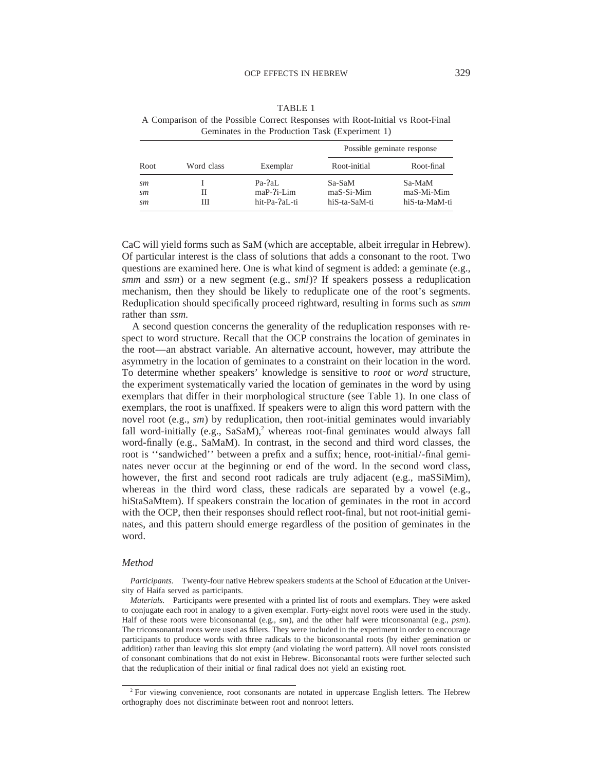| Root | Word class | Exemplar      | Possible geminate response |               |
|------|------------|---------------|----------------------------|---------------|
|      |            |               | Root-initial               | Root-final    |
| sm   |            | $Pa-2aL$      | Sa-SaM                     | Sa-MaM        |
| sm   | н          | $maP-2i-I$ im | maS-Si-Mim                 | maS-Mi-Mim    |
| sm   | Ш          | hit-Pa-?aL-ti | hiS-ta-SaM-ti              | hiS-ta-MaM-ti |

TABLE 1 A Comparison of the Possible Correct Responses with Root-Initial vs Root-Final Geminates in the Production Task (Experiment 1)

CaC will yield forms such as SaM (which are acceptable, albeit irregular in Hebrew). Of particular interest is the class of solutions that adds a consonant to the root. Two questions are examined here. One is what kind of segment is added: a geminate (e.g., *smm* and *ssm*) or a new segment (e.g., *sml*)? If speakers possess a reduplication mechanism, then they should be likely to reduplicate one of the root's segments. Reduplication should specifically proceed rightward, resulting in forms such as *smm* rather than *ssm.*

A second question concerns the generality of the reduplication responses with respect to word structure. Recall that the OCP constrains the location of geminates in the root—an abstract variable. An alternative account, however, may attribute the asymmetry in the location of geminates to a constraint on their location in the word. To determine whether speakers' knowledge is sensitive to *root* or *word* structure, the experiment systematically varied the location of geminates in the word by using exemplars that differ in their morphological structure (see Table 1). In one class of exemplars, the root is unaffixed. If speakers were to align this word pattern with the novel root (e.g., *sm*) by reduplication, then root-initial geminates would invariably fall word-initially (e.g.,  $SaSaM$ ),<sup>2</sup> whereas root-final geminates would always fall word-finally (e.g., SaMaM). In contrast, in the second and third word classes, the root is ''sandwiched'' between a prefix and a suffix; hence, root-initial/-final geminates never occur at the beginning or end of the word. In the second word class, however, the first and second root radicals are truly adjacent (e.g., maSSiMim), whereas in the third word class, these radicals are separated by a vowel (e.g., hiStaSaMtem). If speakers constrain the location of geminates in the root in accord with the OCP, then their responses should reflect root-final, but not root-initial geminates, and this pattern should emerge regardless of the position of geminates in the word.

## *Method*

*Participants.* Twenty-four native Hebrew speakers students at the School of Education at the University of Haifa served as participants.

*Materials.* Participants were presented with a printed list of roots and exemplars. They were asked to conjugate each root in analogy to a given exemplar. Forty-eight novel roots were used in the study. Half of these roots were biconsonantal (e.g., *sm*), and the other half were triconsonantal (e.g., *psm*). The triconsonantal roots were used as fillers. They were included in the experiment in order to encourage participants to produce words with three radicals to the biconsonantal roots (by either gemination or addition) rather than leaving this slot empty (and violating the word pattern). All novel roots consisted of consonant combinations that do not exist in Hebrew. Biconsonantal roots were further selected such that the reduplication of their initial or final radical does not yield an existing root.

<sup>2</sup> For viewing convenience, root consonants are notated in uppercase English letters. The Hebrew orthography does not discriminate between root and nonroot letters.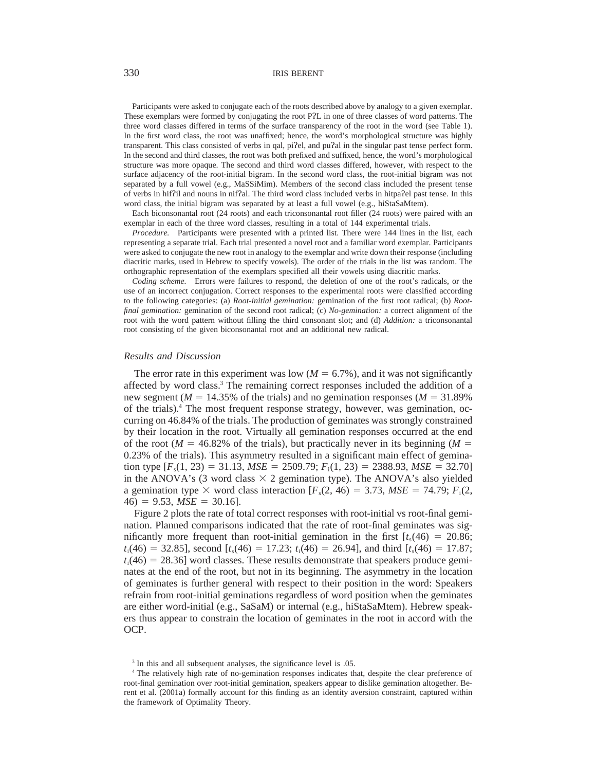Participants were asked to conjugate each of the roots described above by analogy to a given exemplar. These exemplars were formed by conjugating the root PʔL in one of three classes of word patterns. The three word classes differed in terms of the surface transparency of the root in the word (see Table 1). In the first word class, the root was unaffixed; hence, the word's morphological structure was highly transparent. This class consisted of verbs in qal, piʔel, and puʔal in the singular past tense perfect form. In the second and third classes, the root was both prefixed and suffixed, hence, the word's morphological structure was more opaque. The second and third word classes differed, however, with respect to the surface adjacency of the root-initial bigram. In the second word class, the root-initial bigram was not separated by a full vowel (e.g., MaSSiMim). Members of the second class included the present tense of verbs in hifʔil and nouns in nifʔal. The third word class included verbs in hitpaʔel past tense. In this word class, the initial bigram was separated by at least a full vowel (e.g., hiStaSaMtem).

Each biconsonantal root (24 roots) and each triconsonantal root filler (24 roots) were paired with an exemplar in each of the three word classes, resulting in a total of 144 experimental trials.

*Procedure.* Participants were presented with a printed list. There were 144 lines in the list, each representing a separate trial. Each trial presented a novel root and a familiar word exemplar. Participants were asked to conjugate the new root in analogy to the exemplar and write down their response (including diacritic marks, used in Hebrew to specify vowels). The order of the trials in the list was random. The orthographic representation of the exemplars specified all their vowels using diacritic marks.

*Coding scheme.* Errors were failures to respond, the deletion of one of the root's radicals, or the use of an incorrect conjugation. Correct responses to the experimental roots were classified according to the following categories: (a) *Root-initial gemination:* gemination of the first root radical; (b) *Rootfinal gemination:* gemination of the second root radical; (c) *No-gemination:* a correct alignment of the root with the word pattern without filling the third consonant slot; and (d) *Addition:* a triconsonantal root consisting of the given biconsonantal root and an additional new radical.

#### *Results and Discussion*

The error rate in this experiment was low  $(M = 6.7\%)$ , and it was not significantly affected by word class.3 The remaining correct responses included the addition of a new segment ( $M = 14.35\%$  of the trials) and no gemination responses ( $M = 31.89\%$ of the trials).4 The most frequent response strategy, however, was gemination, occurring on 46.84% of the trials. The production of geminates was strongly constrained by their location in the root. Virtually all gemination responses occurred at the end of the root ( $M = 46.82\%$  of the trials), but practically never in its beginning ( $M =$ 0.23% of the trials). This asymmetry resulted in a significant main effect of gemination type  $[F_s(1, 23) = 31.13, MSE = 2509.79; F_i(1, 23) = 2388.93, MSE = 32.70$ in the ANOVA's (3 word class  $\times$  2 gemination type). The ANOVA's also yielded a gemination type  $\times$  word class interaction  $[F_s(2, 46) = 3.73, MSE = 74.79; F_s(2, 46)$  $46$ ) = 9.53, *MSE* = 30.16].

Figure 2 plots the rate of total correct responses with root-initial vs root-final gemination. Planned comparisons indicated that the rate of root-final geminates was significantly more frequent than root-initial gemination in the first  $[t_{s}(46) = 20.86;$  $t_i(46) = 32.85$ ], second  $[t_s(46) = 17.23; t_i(46) = 26.94$ ], and third  $[t_s(46) = 17.87;$  $t_i(46) = 28.36$ ] word classes. These results demonstrate that speakers produce geminates at the end of the root, but not in its beginning. The asymmetry in the location of geminates is further general with respect to their position in the word: Speakers refrain from root-initial geminations regardless of word position when the geminates are either word-initial (e.g., SaSaM) or internal (e.g., hiStaSaMtem). Hebrew speakers thus appear to constrain the location of geminates in the root in accord with the OCP.

<sup>&</sup>lt;sup>3</sup> In this and all subsequent analyses, the significance level is .05.

<sup>4</sup> The relatively high rate of no-gemination responses indicates that, despite the clear preference of root-final gemination over root-initial gemination, speakers appear to dislike gemination altogether. Berent et al. (2001a) formally account for this finding as an identity aversion constraint, captured within the framework of Optimality Theory.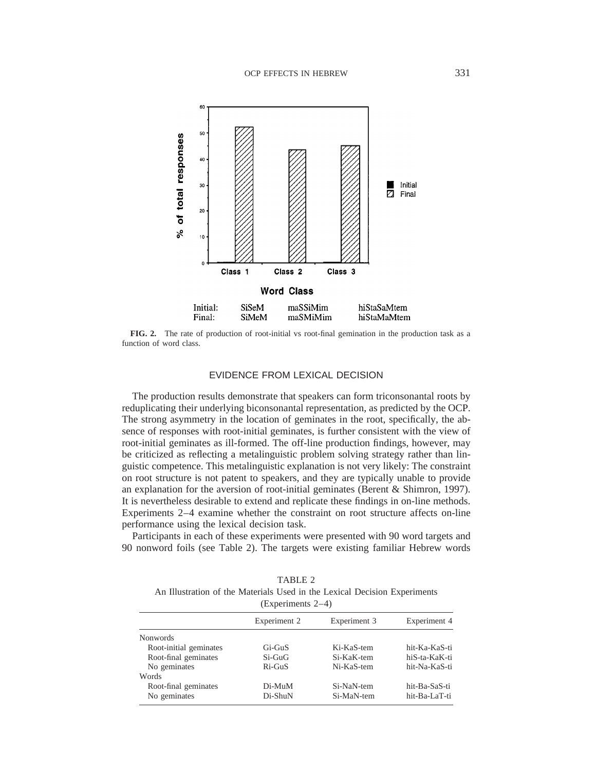

**FIG. 2.** The rate of production of root-initial vs root-final gemination in the production task as a function of word class.

# EVIDENCE FROM LEXICAL DECISION

The production results demonstrate that speakers can form triconsonantal roots by reduplicating their underlying biconsonantal representation, as predicted by the OCP. The strong asymmetry in the location of geminates in the root, specifically, the absence of responses with root-initial geminates, is further consistent with the view of root-initial geminates as ill-formed. The off-line production findings, however, may be criticized as reflecting a metalinguistic problem solving strategy rather than linguistic competence. This metalinguistic explanation is not very likely: The constraint on root structure is not patent to speakers, and they are typically unable to provide an explanation for the aversion of root-initial geminates (Berent & Shimron, 1997). It is nevertheless desirable to extend and replicate these findings in on-line methods. Experiments 2–4 examine whether the constraint on root structure affects on-line performance using the lexical decision task.

Participants in each of these experiments were presented with 90 word targets and 90 nonword foils (see Table 2). The targets were existing familiar Hebrew words

| TABLE 2                                                                   |  |  |  |  |  |  |  |
|---------------------------------------------------------------------------|--|--|--|--|--|--|--|
| An Illustration of the Materials Used in the Lexical Decision Experiments |  |  |  |  |  |  |  |
| $(Experiments 2-4)$                                                       |  |  |  |  |  |  |  |

|                        | Experiment 2 | Experiment 3 | Experiment 4  |
|------------------------|--------------|--------------|---------------|
| <b>Nonwords</b>        |              |              |               |
| Root-initial geminates | Gi-GuS       | Ki-KaS-tem   | hit-Ka-KaS-ti |
| Root-final geminates   | $Si-GuG$     | Si-KaK-tem   | hiS-ta-KaK-ti |
| No geminates           | $Ri$ -GuS    | Ni-KaS-tem   | hit-Na-KaS-ti |
| Words                  |              |              |               |
| Root-final geminates   | Di-MuM       | Si-NaN-tem   | hit-Ba-SaS-ti |
| No geminates           | Di-ShuN      | Si-MaN-tem   | hit-Ba-LaT-ti |
|                        |              |              |               |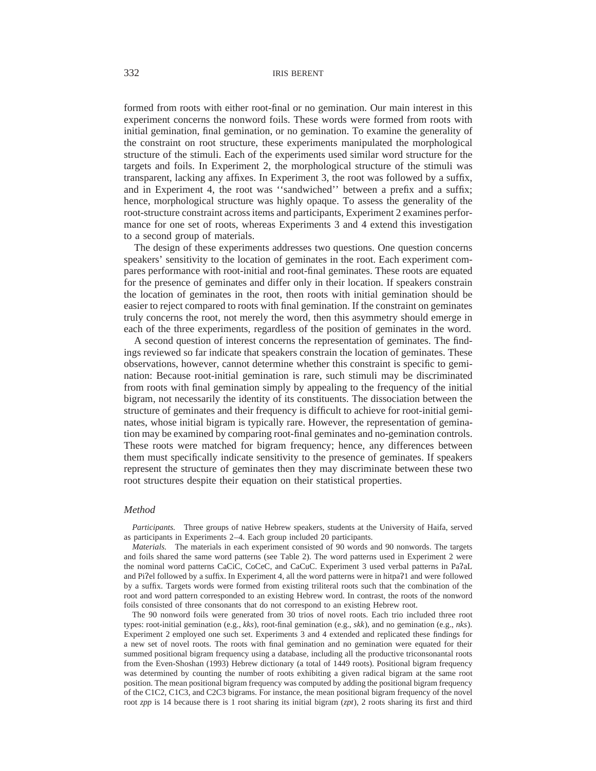formed from roots with either root-final or no gemination. Our main interest in this experiment concerns the nonword foils. These words were formed from roots with initial gemination, final gemination, or no gemination. To examine the generality of the constraint on root structure, these experiments manipulated the morphological structure of the stimuli. Each of the experiments used similar word structure for the targets and foils. In Experiment 2, the morphological structure of the stimuli was transparent, lacking any affixes. In Experiment 3, the root was followed by a suffix, and in Experiment 4, the root was ''sandwiched'' between a prefix and a suffix; hence, morphological structure was highly opaque. To assess the generality of the root-structure constraint across items and participants, Experiment 2 examines performance for one set of roots, whereas Experiments 3 and 4 extend this investigation to a second group of materials.

The design of these experiments addresses two questions. One question concerns speakers' sensitivity to the location of geminates in the root. Each experiment compares performance with root-initial and root-final geminates. These roots are equated for the presence of geminates and differ only in their location. If speakers constrain the location of geminates in the root, then roots with initial gemination should be easier to reject compared to roots with final gemination. If the constraint on geminates truly concerns the root, not merely the word, then this asymmetry should emerge in each of the three experiments, regardless of the position of geminates in the word.

A second question of interest concerns the representation of geminates. The findings reviewed so far indicate that speakers constrain the location of geminates. These observations, however, cannot determine whether this constraint is specific to gemination: Because root-initial gemination is rare, such stimuli may be discriminated from roots with final gemination simply by appealing to the frequency of the initial bigram, not necessarily the identity of its constituents. The dissociation between the structure of geminates and their frequency is difficult to achieve for root-initial geminates, whose initial bigram is typically rare. However, the representation of gemination may be examined by comparing root-final geminates and no-gemination controls. These roots were matched for bigram frequency; hence, any differences between them must specifically indicate sensitivity to the presence of geminates. If speakers represent the structure of geminates then they may discriminate between these two root structures despite their equation on their statistical properties.

#### *Method*

*Participants.* Three groups of native Hebrew speakers, students at the University of Haifa, served as participants in Experiments 2–4. Each group included 20 participants.

*Materials.* The materials in each experiment consisted of 90 words and 90 nonwords. The targets and foils shared the same word patterns (see Table 2). The word patterns used in Experiment 2 were the nominal word patterns CaCiC, CoCeC, and CaCuC. Experiment 3 used verbal patterns in PaʔaL and Pi?el followed by a suffix. In Experiment 4, all the word patterns were in hitpa?1 and were followed by a suffix. Targets words were formed from existing triliteral roots such that the combination of the root and word pattern corresponded to an existing Hebrew word. In contrast, the roots of the nonword foils consisted of three consonants that do not correspond to an existing Hebrew root.

The 90 nonword foils were generated from 30 trios of novel roots. Each trio included three root types: root-initial gemination (e.g., *kks*), root-final gemination (e.g., *skk*), and no gemination (e.g., *nks*). Experiment 2 employed one such set. Experiments 3 and 4 extended and replicated these findings for a new set of novel roots. The roots with final gemination and no gemination were equated for their summed positional bigram frequency using a database, including all the productive triconsonantal roots from the Even-Shoshan (1993) Hebrew dictionary (a total of 1449 roots). Positional bigram frequency was determined by counting the number of roots exhibiting a given radical bigram at the same root position. The mean positional bigram frequency was computed by adding the positional bigram frequency of the C1C2, C1C3, and C2C3 bigrams. For instance, the mean positional bigram frequency of the novel root *zpp* is 14 because there is 1 root sharing its initial bigram (*zpt*), 2 roots sharing its first and third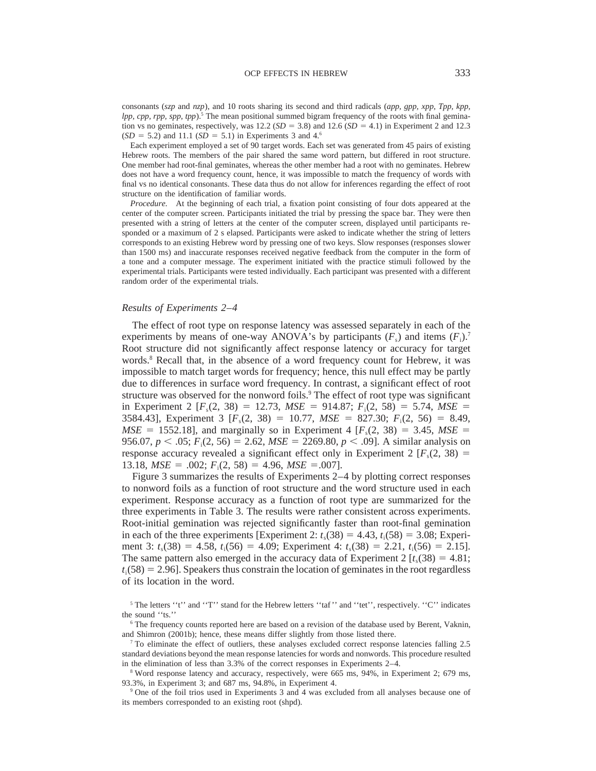consonants (*szp* and *nzp*), and 10 roots sharing its second and third radicals (*app, gpp, xpp, Tpp, kpp,*  $lpp$ , cpp, rpp, spp, tpp).<sup>5</sup> The mean positional summed bigram frequency of the roots with final gemination vs no geminates, respectively, was  $12.2$  ( $SD = 3.8$ ) and  $12.6$  ( $SD = 4.1$ ) in Experiment 2 and 12.3  $(SD = 5.2)$  and 11.1  $(SD = 5.1)$  in Experiments 3 and 4.<sup>6</sup>

Each experiment employed a set of 90 target words. Each set was generated from 45 pairs of existing Hebrew roots. The members of the pair shared the same word pattern, but differed in root structure. One member had root-final geminates, whereas the other member had a root with no geminates. Hebrew does not have a word frequency count, hence, it was impossible to match the frequency of words with final vs no identical consonants. These data thus do not allow for inferences regarding the effect of root structure on the identification of familiar words.

*Procedure.* At the beginning of each trial, a fixation point consisting of four dots appeared at the center of the computer screen. Participants initiated the trial by pressing the space bar. They were then presented with a string of letters at the center of the computer screen, displayed until participants responded or a maximum of 2 s elapsed. Participants were asked to indicate whether the string of letters corresponds to an existing Hebrew word by pressing one of two keys. Slow responses (responses slower than 1500 ms) and inaccurate responses received negative feedback from the computer in the form of a tone and a computer message. The experiment initiated with the practice stimuli followed by the experimental trials. Participants were tested individually. Each participant was presented with a different random order of the experimental trials.

### *Results of Experiments 2–4*

The effect of root type on response latency was assessed separately in each of the experiments by means of one-way ANOVA's by participants  $(F_s)$  and items  $(F_i)$ .<sup>7</sup> Root structure did not significantly affect response latency or accuracy for target words.<sup>8</sup> Recall that, in the absence of a word frequency count for Hebrew, it was impossible to match target words for frequency; hence, this null effect may be partly due to differences in surface word frequency. In contrast, a significant effect of root structure was observed for the nonword foils.<sup>9</sup> The effect of root type was significant in Experiment 2  $[F_s(2, 38) = 12.73, MSE = 914.87; F_i(2, 58) = 5.74, MSE =$ 3584.43], Experiment 3  $[F_s(2, 38) = 10.77, MSE = 827.30; F_i(2, 56) = 8.49$ , *MSE* = 1552.18], and marginally so in Experiment 4  $[F<sub>s</sub>(2, 38) = 3.45$ , *MSE* = 956.07,  $p < .05$ ;  $F_i(2, 56) = 2.62$ ,  $MSE = 2269.80$ ,  $p < .09$ ]. A similar analysis on response accuracy revealed a significant effect only in Experiment 2  $[F_s(2, 38) =$ 13.18,  $MSE = .002$ ;  $F<sub>i</sub>(2, 58) = 4.96$ ,  $MSE = .007$ ].

Figure 3 summarizes the results of Experiments 2–4 by plotting correct responses to nonword foils as a function of root structure and the word structure used in each experiment. Response accuracy as a function of root type are summarized for the three experiments in Table 3. The results were rather consistent across experiments. Root-initial gemination was rejected significantly faster than root-final gemination in each of the three experiments [Experiment 2:  $t_s(38) = 4.43$ ,  $t_i(58) = 3.08$ ; Experiment 3:  $t_s(38) = 4.58$ ,  $t_i(56) = 4.09$ ; Experiment 4:  $t_s(38) = 2.21$ ,  $t_i(56) = 2.15$ ]. The same pattern also emerged in the accuracy data of Experiment 2  $[t_s(38) = 4.81;$  $t<sub>i</sub>(58) = 2.96$ . Speakers thus constrain the location of geminates in the root regardless of its location in the word.

<sup>8</sup> Word response latency and accuracy, respectively, were 665 ms, 94%, in Experiment 2; 679 ms, 93.3%, in Experiment 3; and 687 ms, 94.8%, in Experiment 4.

<sup>9</sup> One of the foil trios used in Experiments 3 and 4 was excluded from all analyses because one of its members corresponded to an existing root (shpd).

<sup>&</sup>lt;sup>5</sup> The letters ''t'' and ''T'' stand for the Hebrew letters ''taf'' and ''tet'', respectively. ''C'' indicates the sound ''ts.''

<sup>6</sup> The frequency counts reported here are based on a revision of the database used by Berent, Vaknin, and Shimron (2001b); hence, these means differ slightly from those listed there.

<sup>7</sup> To eliminate the effect of outliers, these analyses excluded correct response latencies falling 2.5 standard deviations beyond the mean response latencies for words and nonwords. This procedure resulted in the elimination of less than 3.3% of the correct responses in Experiments 2–4.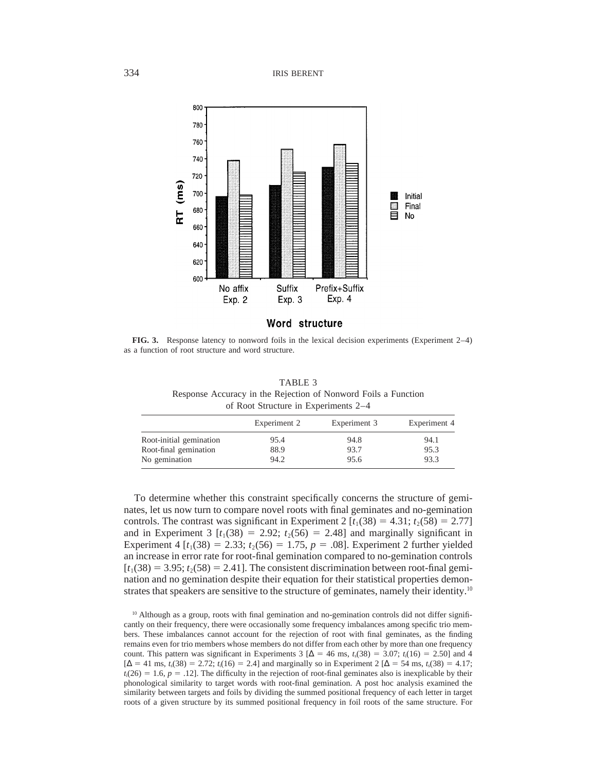

**FIG. 3.** Response latency to nonword foils in the lexical decision experiments (Experiment 2–4) as a function of root structure and word structure.

#### TABLE 3

Response Accuracy in the Rejection of Nonword Foils a Function of Root Structure in Experiments 2–4

|                         | Experiment 2 | Experiment 3 | Experiment 4 |
|-------------------------|--------------|--------------|--------------|
| Root-initial gemination | 95.4         | 94.8         | 94.1         |
| Root-final gemination   | 88.9         | 93.7         | 95.3         |
| No gemination           | 94.2         | 95.6         | 93.3         |
|                         |              |              |              |

To determine whether this constraint specifically concerns the structure of geminates, let us now turn to compare novel roots with final geminates and no-gemination controls. The contrast was significant in Experiment 2  $[t_1(38) = 4.31; t_2(58) = 2.77]$ and in Experiment 3  $[t_1(38) = 2.92; t_2(56) = 2.48]$  and marginally significant in Experiment 4  $[t_1(38) = 2.33; t_2(56) = 1.75, p = .08]$ . Experiment 2 further yielded an increase in error rate for root-final gemination compared to no-gemination controls  $[t_1(38) = 3.95; t_2(58) = 2.41]$ . The consistent discrimination between root-final gemination and no gemination despite their equation for their statistical properties demonstrates that speakers are sensitive to the structure of geminates, namely their identity.<sup>10</sup>

<sup>10</sup> Although as a group, roots with final gemination and no-gemination controls did not differ significantly on their frequency, there were occasionally some frequency imbalances among specific trio members. These imbalances cannot account for the rejection of root with final geminates, as the finding remains even for trio members whose members do not differ from each other by more than one frequency count. This pattern was significant in Experiments 3 [ $\Delta = 46$  ms,  $t_s(38) = 3.07$ ;  $t_i(16) = 2.50$ ] and 4  $[\Delta = 41 \text{ ms}, t_s(38) = 2.72; t_s(16) = 2.4]$  and marginally so in Experiment 2  $[\Delta = 54 \text{ ms}, t_s(38) = 4.17;$  $t_i(26) = 1.6$ ,  $p = .12$ . The difficulty in the rejection of root-final geminates also is inexplicable by their phonological similarity to target words with root-final gemination. A post hoc analysis examined the similarity between targets and foils by dividing the summed positional frequency of each letter in target roots of a given structure by its summed positional frequency in foil roots of the same structure. For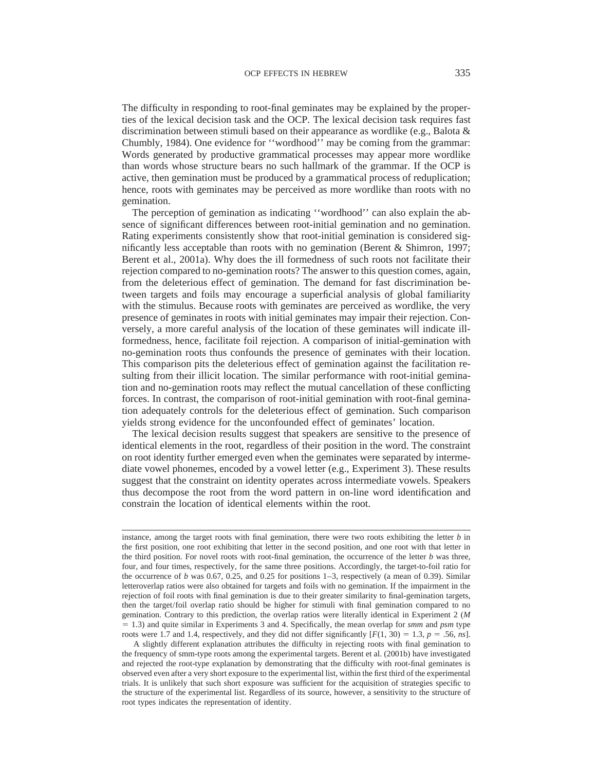The difficulty in responding to root-final geminates may be explained by the properties of the lexical decision task and the OCP. The lexical decision task requires fast discrimination between stimuli based on their appearance as wordlike (e.g., Balota & Chumbly, 1984). One evidence for ''wordhood'' may be coming from the grammar: Words generated by productive grammatical processes may appear more wordlike than words whose structure bears no such hallmark of the grammar. If the OCP is active, then gemination must be produced by a grammatical process of reduplication; hence, roots with geminates may be perceived as more wordlike than roots with no gemination.

The perception of gemination as indicating ''wordhood'' can also explain the absence of significant differences between root-initial gemination and no gemination. Rating experiments consistently show that root-initial gemination is considered significantly less acceptable than roots with no gemination (Berent & Shimron, 1997; Berent et al., 2001a). Why does the ill formedness of such roots not facilitate their rejection compared to no-gemination roots? The answer to this question comes, again, from the deleterious effect of gemination. The demand for fast discrimination between targets and foils may encourage a superficial analysis of global familiarity with the stimulus. Because roots with geminates are perceived as wordlike, the very presence of geminates in roots with initial geminates may impair their rejection. Conversely, a more careful analysis of the location of these geminates will indicate illformedness, hence, facilitate foil rejection. A comparison of initial-gemination with no-gemination roots thus confounds the presence of geminates with their location. This comparison pits the deleterious effect of gemination against the facilitation resulting from their illicit location. The similar performance with root-initial gemination and no-gemination roots may reflect the mutual cancellation of these conflicting forces. In contrast, the comparison of root-initial gemination with root-final gemination adequately controls for the deleterious effect of gemination. Such comparison yields strong evidence for the unconfounded effect of geminates' location.

The lexical decision results suggest that speakers are sensitive to the presence of identical elements in the root, regardless of their position in the word. The constraint on root identity further emerged even when the geminates were separated by intermediate vowel phonemes, encoded by a vowel letter (e.g., Experiment 3). These results suggest that the constraint on identity operates across intermediate vowels. Speakers thus decompose the root from the word pattern in on-line word identification and constrain the location of identical elements within the root.

instance, among the target roots with final gemination, there were two roots exhibiting the letter *b* in the first position, one root exhibiting that letter in the second position, and one root with that letter in the third position. For novel roots with root-final gemination, the occurrence of the letter *b* was three, four, and four times, respectively, for the same three positions. Accordingly, the target-to-foil ratio for the occurrence of *b* was 0.67, 0.25, and 0.25 for positions  $1-3$ , respectively (a mean of 0.39). Similar letteroverlap ratios were also obtained for targets and foils with no gemination. If the impairment in the rejection of foil roots with final gemination is due to their greater similarity to final-gemination targets, then the target/foil overlap ratio should be higher for stimuli with final gemination compared to no gemination. Contrary to this prediction, the overlap ratios were literally identical in Experiment 2 (*M* 5 1.3) and quite similar in Experiments 3 and 4. Specifically, the mean overlap for *smm* and *psm* type roots were 1.7 and 1.4, respectively, and they did not differ significantly  $[F(1, 30) = 1.3, p = .56, ns]$ .

A slightly different explanation attributes the difficulty in rejecting roots with final gemination to the frequency of smm-type roots among the experimental targets. Berent et al. (2001b) have investigated and rejected the root-type explanation by demonstrating that the difficulty with root-final geminates is observed even after a very short exposure to the experimental list, within the first third of the experimental trials. It is unlikely that such short exposure was sufficient for the acquisition of strategies specific to the structure of the experimental list. Regardless of its source, however, a sensitivity to the structure of root types indicates the representation of identity.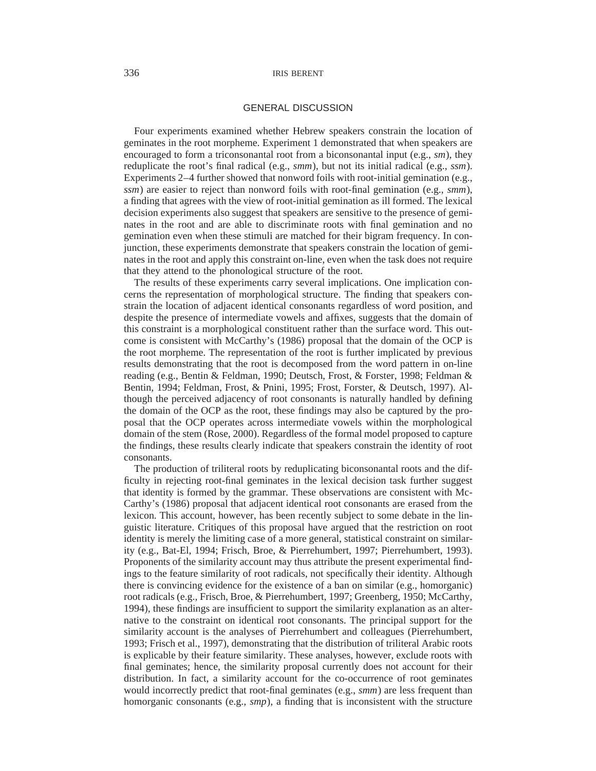# GENERAL DISCUSSION

Four experiments examined whether Hebrew speakers constrain the location of geminates in the root morpheme. Experiment 1 demonstrated that when speakers are encouraged to form a triconsonantal root from a biconsonantal input (e.g., *sm*), they reduplicate the root's final radical (e.g., *smm*), but not its initial radical (e.g., *ssm*). Experiments 2–4 further showed that nonword foils with root-initial gemination (e.g., *ssm*) are easier to reject than nonword foils with root-final gemination (e.g., *smm*), a finding that agrees with the view of root-initial gemination as ill formed. The lexical decision experiments also suggest that speakers are sensitive to the presence of geminates in the root and are able to discriminate roots with final gemination and no gemination even when these stimuli are matched for their bigram frequency. In conjunction, these experiments demonstrate that speakers constrain the location of geminates in the root and apply this constraint on-line, even when the task does not require that they attend to the phonological structure of the root.

The results of these experiments carry several implications. One implication concerns the representation of morphological structure. The finding that speakers constrain the location of adjacent identical consonants regardless of word position, and despite the presence of intermediate vowels and affixes, suggests that the domain of this constraint is a morphological constituent rather than the surface word. This outcome is consistent with McCarthy's (1986) proposal that the domain of the OCP is the root morpheme. The representation of the root is further implicated by previous results demonstrating that the root is decomposed from the word pattern in on-line reading (e.g., Bentin & Feldman, 1990; Deutsch, Frost, & Forster, 1998; Feldman & Bentin, 1994; Feldman, Frost, & Pnini, 1995; Frost, Forster, & Deutsch, 1997). Although the perceived adjacency of root consonants is naturally handled by defining the domain of the OCP as the root, these findings may also be captured by the proposal that the OCP operates across intermediate vowels within the morphological domain of the stem (Rose, 2000). Regardless of the formal model proposed to capture the findings, these results clearly indicate that speakers constrain the identity of root consonants.

The production of triliteral roots by reduplicating biconsonantal roots and the difficulty in rejecting root-final geminates in the lexical decision task further suggest that identity is formed by the grammar. These observations are consistent with Mc-Carthy's (1986) proposal that adjacent identical root consonants are erased from the lexicon. This account, however, has been recently subject to some debate in the linguistic literature. Critiques of this proposal have argued that the restriction on root identity is merely the limiting case of a more general, statistical constraint on similarity (e.g., Bat-El, 1994; Frisch, Broe, & Pierrehumbert, 1997; Pierrehumbert, 1993). Proponents of the similarity account may thus attribute the present experimental findings to the feature similarity of root radicals, not specifically their identity. Although there is convincing evidence for the existence of a ban on similar (e.g., homorganic) root radicals (e.g., Frisch, Broe, & Pierrehumbert, 1997; Greenberg, 1950; McCarthy, 1994), these findings are insufficient to support the similarity explanation as an alternative to the constraint on identical root consonants. The principal support for the similarity account is the analyses of Pierrehumbert and colleagues (Pierrehumbert, 1993; Frisch et al., 1997), demonstrating that the distribution of triliteral Arabic roots is explicable by their feature similarity. These analyses, however, exclude roots with final geminates; hence, the similarity proposal currently does not account for their distribution. In fact, a similarity account for the co-occurrence of root geminates would incorrectly predict that root-final geminates (e.g., *smm*) are less frequent than homorganic consonants (e.g., *smp*), a finding that is inconsistent with the structure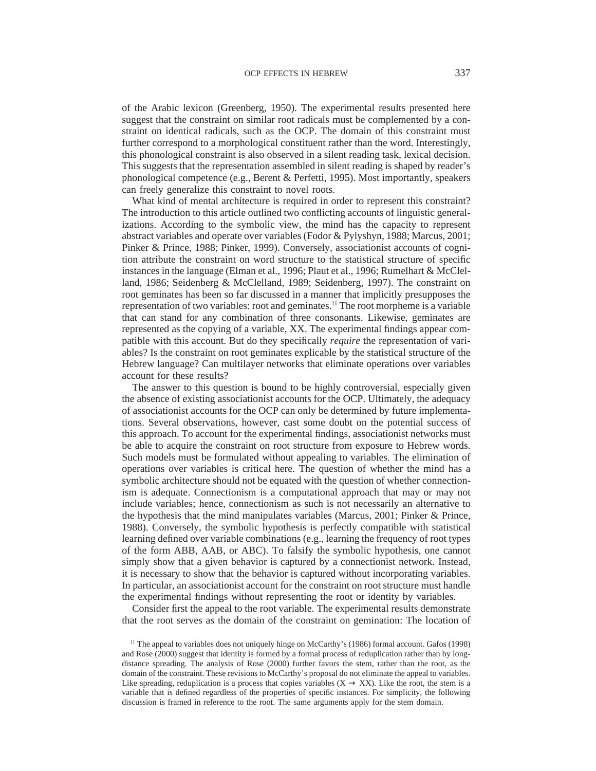of the Arabic lexicon (Greenberg, 1950). The experimental results presented here suggest that the constraint on similar root radicals must be complemented by a constraint on identical radicals, such as the OCP. The domain of this constraint must further correspond to a morphological constituent rather than the word. Interestingly, this phonological constraint is also observed in a silent reading task, lexical decision. This suggests that the representation assembled in silent reading is shaped by reader's phonological competence (e.g., Berent & Perfetti, 1995). Most importantly, speakers can freely generalize this constraint to novel roots.

What kind of mental architecture is required in order to represent this constraint? The introduction to this article outlined two conflicting accounts of linguistic generalizations. According to the symbolic view, the mind has the capacity to represent abstract variables and operate over variables (Fodor & Pylyshyn, 1988; Marcus, 2001; Pinker & Prince, 1988; Pinker, 1999). Conversely, associationist accounts of cognition attribute the constraint on word structure to the statistical structure of specific instances in the language (Elman et al., 1996; Plaut et al., 1996; Rumelhart & McClelland, 1986; Seidenberg & McClelland, 1989; Seidenberg, 1997). The constraint on root geminates has been so far discussed in a manner that implicitly presupposes the representation of two variables: root and geminates.11 The root morpheme is a variable that can stand for any combination of three consonants. Likewise, geminates are represented as the copying of a variable, XX. The experimental findings appear compatible with this account. But do they specifically *require* the representation of variables? Is the constraint on root geminates explicable by the statistical structure of the Hebrew language? Can multilayer networks that eliminate operations over variables account for these results?

The answer to this question is bound to be highly controversial, especially given the absence of existing associationist accounts for the OCP. Ultimately, the adequacy of associationist accounts for the OCP can only be determined by future implementations. Several observations, however, cast some doubt on the potential success of this approach. To account for the experimental findings, associationist networks must be able to acquire the constraint on root structure from exposure to Hebrew words. Such models must be formulated without appealing to variables. The elimination of operations over variables is critical here. The question of whether the mind has a symbolic architecture should not be equated with the question of whether connectionism is adequate. Connectionism is a computational approach that may or may not include variables; hence, connectionism as such is not necessarily an alternative to the hypothesis that the mind manipulates variables (Marcus, 2001; Pinker & Prince, 1988). Conversely, the symbolic hypothesis is perfectly compatible with statistical learning defined over variable combinations (e.g., learning the frequency of root types of the form ABB, AAB, or ABC). To falsify the symbolic hypothesis, one cannot simply show that a given behavior is captured by a connectionist network. Instead, it is necessary to show that the behavior is captured without incorporating variables. In particular, an associationist account for the constraint on root structure must handle the experimental findings without representing the root or identity by variables.

Consider first the appeal to the root variable. The experimental results demonstrate that the root serves as the domain of the constraint on gemination: The location of

<sup>&</sup>lt;sup>11</sup> The appeal to variables does not uniquely hinge on McCarthy's (1986) formal account. Gafos (1998) and Rose (2000) suggest that identity is formed by a formal process of reduplication rather than by longdistance spreading. The analysis of Rose (2000) further favors the stem, rather than the root, as the domain of the constraint. These revisions to McCarthy's proposal do not eliminate the appeal to variables. Like spreading, reduplication is a process that copies variables  $(X \rightarrow XX)$ . Like the root, the stem is a variable that is defined regardless of the properties of specific instances. For simplicity, the following discussion is framed in reference to the root. The same arguments apply for the stem domain.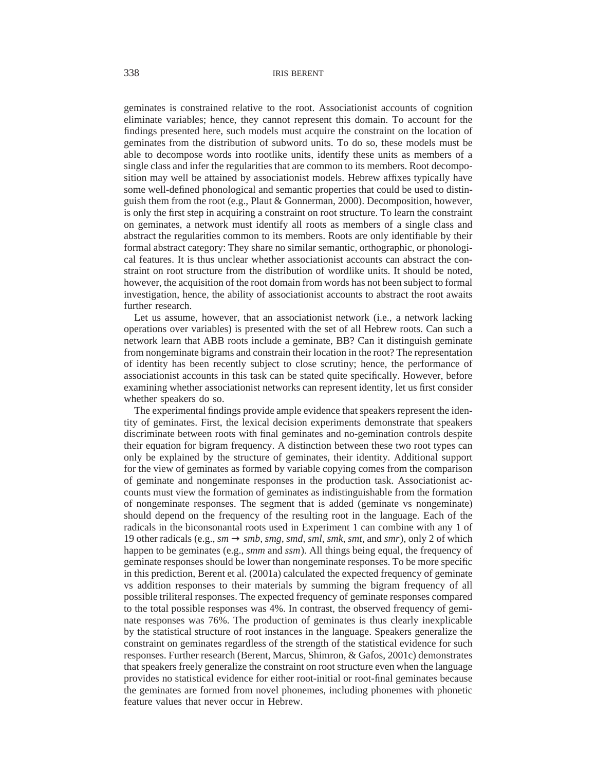geminates is constrained relative to the root. Associationist accounts of cognition eliminate variables; hence, they cannot represent this domain. To account for the findings presented here, such models must acquire the constraint on the location of geminates from the distribution of subword units. To do so, these models must be able to decompose words into rootlike units, identify these units as members of a single class and infer the regularities that are common to its members. Root decomposition may well be attained by associationist models. Hebrew affixes typically have some well-defined phonological and semantic properties that could be used to distinguish them from the root (e.g., Plaut & Gonnerman, 2000). Decomposition, however, is only the first step in acquiring a constraint on root structure. To learn the constraint on geminates, a network must identify all roots as members of a single class and abstract the regularities common to its members. Roots are only identifiable by their formal abstract category: They share no similar semantic, orthographic, or phonological features. It is thus unclear whether associationist accounts can abstract the constraint on root structure from the distribution of wordlike units. It should be noted, however, the acquisition of the root domain from words has not been subject to formal investigation, hence, the ability of associationist accounts to abstract the root awaits further research.

Let us assume, however, that an associationist network (i.e., a network lacking operations over variables) is presented with the set of all Hebrew roots. Can such a network learn that ABB roots include a geminate, BB? Can it distinguish geminate from nongeminate bigrams and constrain their location in the root? The representation of identity has been recently subject to close scrutiny; hence, the performance of associationist accounts in this task can be stated quite specifically. However, before examining whether associationist networks can represent identity, let us first consider whether speakers do so.

The experimental findings provide ample evidence that speakers represent the identity of geminates. First, the lexical decision experiments demonstrate that speakers discriminate between roots with final geminates and no-gemination controls despite their equation for bigram frequency. A distinction between these two root types can only be explained by the structure of geminates, their identity. Additional support for the view of geminates as formed by variable copying comes from the comparison of geminate and nongeminate responses in the production task. Associationist accounts must view the formation of geminates as indistinguishable from the formation of nongeminate responses. The segment that is added (geminate vs nongeminate) should depend on the frequency of the resulting root in the language. Each of the radicals in the biconsonantal roots used in Experiment 1 can combine with any 1 of 19 other radicals (e.g.,  $sm \rightarrow smb$ ,  $smg$ ,  $smd$ ,  $sml$ ,  $smk$ ,  $smt$ , and  $smr$ ), only 2 of which happen to be geminates (e.g., *smm* and *ssm*). All things being equal, the frequency of geminate responses should be lower than nongeminate responses. To be more specific in this prediction, Berent et al. (2001a) calculated the expected frequency of geminate vs addition responses to their materials by summing the bigram frequency of all possible triliteral responses. The expected frequency of geminate responses compared to the total possible responses was 4%. In contrast, the observed frequency of geminate responses was 76%. The production of geminates is thus clearly inexplicable by the statistical structure of root instances in the language. Speakers generalize the constraint on geminates regardless of the strength of the statistical evidence for such responses. Further research (Berent, Marcus, Shimron, & Gafos, 2001c) demonstrates that speakers freely generalize the constraint on root structure even when the language provides no statistical evidence for either root-initial or root-final geminates because the geminates are formed from novel phonemes, including phonemes with phonetic feature values that never occur in Hebrew.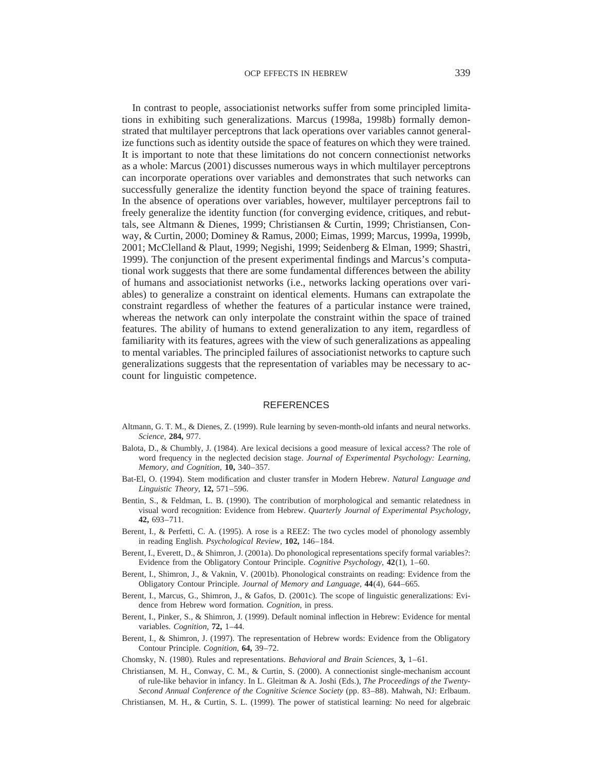In contrast to people, associationist networks suffer from some principled limitations in exhibiting such generalizations. Marcus (1998a, 1998b) formally demonstrated that multilayer perceptrons that lack operations over variables cannot generalize functions such as identity outside the space of features on which they were trained. It is important to note that these limitations do not concern connectionist networks as a whole: Marcus (2001) discusses numerous ways in which multilayer perceptrons can incorporate operations over variables and demonstrates that such networks can successfully generalize the identity function beyond the space of training features. In the absence of operations over variables, however, multilayer perceptrons fail to freely generalize the identity function (for converging evidence, critiques, and rebuttals, see Altmann & Dienes, 1999; Christiansen & Curtin, 1999; Christiansen, Conway, & Curtin, 2000; Dominey & Ramus, 2000; Eimas, 1999; Marcus, 1999a, 1999b, 2001; McClelland & Plaut, 1999; Negishi, 1999; Seidenberg & Elman, 1999; Shastri, 1999). The conjunction of the present experimental findings and Marcus's computational work suggests that there are some fundamental differences between the ability of humans and associationist networks (i.e., networks lacking operations over variables) to generalize a constraint on identical elements. Humans can extrapolate the constraint regardless of whether the features of a particular instance were trained, whereas the network can only interpolate the constraint within the space of trained features. The ability of humans to extend generalization to any item, regardless of familiarity with its features, agrees with the view of such generalizations as appealing to mental variables. The principled failures of associationist networks to capture such generalizations suggests that the representation of variables may be necessary to account for linguistic competence.

## **REFERENCES**

- Altmann, G. T. M., & Dienes, Z. (1999). Rule learning by seven-month-old infants and neural networks. *Science,* **284,** 977.
- Balota, D., & Chumbly, J. (1984). Are lexical decisions a good measure of lexical access? The role of word frequency in the neglected decision stage. *Journal of Experimental Psychology: Learning, Memory, and Cognition,* **10,** 340–357.
- Bat-El, O. (1994). Stem modification and cluster transfer in Modern Hebrew. *Natural Language and Linguistic Theory,* **12,** 571–596.
- Bentin, S., & Feldman, L. B. (1990). The contribution of morphological and semantic relatedness in visual word recognition: Evidence from Hebrew. *Quarterly Journal of Experimental Psychology,* **42,** 693–711.
- Berent, I., & Perfetti, C. A. (1995). A rose is a REEZ: The two cycles model of phonology assembly in reading English. *Psychological Review,* **102,** 146–184.
- Berent, I., Everett, D., & Shimron, J. (2001a). Do phonological representations specify formal variables?: Evidence from the Obligatory Contour Principle. *Cognitive Psychology,* **42**(1), 1–60.
- Berent, I., Shimron, J., & Vaknin, V. (2001b). Phonological constraints on reading: Evidence from the Obligatory Contour Principle. *Journal of Memory and Language,* **44**(4), 644–665.
- Berent, I., Marcus, G., Shimron, J., & Gafos, D. (2001c). The scope of linguistic generalizations: Evidence from Hebrew word formation. *Cognition,* in press.
- Berent, I., Pinker, S., & Shimron, J. (1999). Default nominal inflection in Hebrew: Evidence for mental variables. *Cognition,* **72,** 1–44.
- Berent, I., & Shimron, J. (1997). The representation of Hebrew words: Evidence from the Obligatory Contour Principle. *Cognition,* **64,** 39–72.
- Chomsky, N. (1980). Rules and representations. *Behavioral and Brain Sciences,* **3,** 1–61.
- Christiansen, M. H., Conway, C. M., & Curtin, S. (2000). A connectionist single-mechanism account of rule-like behavior in infancy. In L. Gleitman & A. Joshi (Eds.), *The Proceedings of the Twenty-Second Annual Conference of the Cognitive Science Society* (pp. 83–88). Mahwah, NJ: Erlbaum.
- Christiansen, M. H., & Curtin, S. L. (1999). The power of statistical learning: No need for algebraic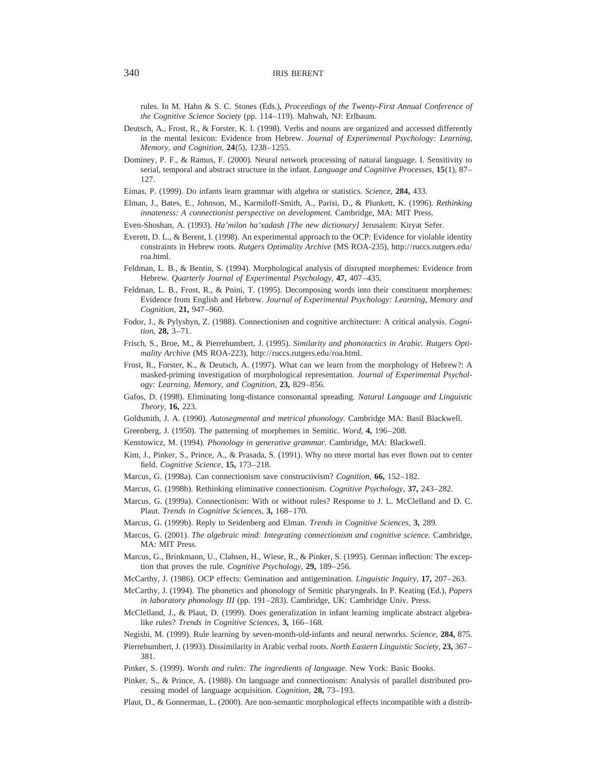rules. In M. Hahn & S. C. Stones (Eds.), *Proceedings of the Twenty-First Annual Conference of the Cognitive Science Society* (pp. 114–119). Mahwah, NJ: Erlbaum.

- Deutsch, A., Frost, R., & Forster, K. I. (1998). Verbs and nouns are organized and accessed differently in the mental lexicon: Evidence from Hebrew. *Journal of Experimental Psychology: Learning, Memory, and Cognition,* **24**(5), 1238–1255.
- Dominey, P. F., & Ramus, F. (2000). Neural network processing of natural language. I. Sensitivity to serial, temporal and abstract structure in the infant. *Language and Cognitive Processes,* **15**(1), 87– 127.
- Eimas, P. (1999). Do infants learn grammar with algebra or statistics. *Science,* **284,** 433.
- Elman, J., Bates, E., Johnson, M., Karmiloff-Smith, A., Parisi, D., & Plunkett, K. (1996). *Rethinking innateness: A connectionist perspective on development.* Cambridge, MA: MIT Press.
- Even-Shoshan, A. (1993). *Ha'milon ha'xadash [The new dictionary]* Jerusalem: Kiryat Sefer.
- Everett, D. L., & Berent, I. (1998). An experimental approach to the OCP: Evidence for violable identity constraints in Hebrew roots. *Rutgers Optimality Archive* (MS ROA-235), http://ruccs.rutgers.edu/ roa.html.
- Feldman, L. B., & Bentin, S. (1994). Morphological analysis of disrupted morphemes: Evidence from Hebrew. *Quarterly Journal of Experimental Psychology,* **47,** 407–435.
- Feldman, L. B., Frost, R., & Pnini, T. (1995). Decomposing words into their constituent morphemes: Evidence from English and Hebrew. *Journal of Experimental Psychology: Learning, Memory and Cognition,* **21,** 947–960.
- Fodor, J., & Pylyshyn, Z. (1988). Connectionism and cognitive architecture: A critical analysis. *Cognition,* **28,** 3–71.
- Frisch, S., Broe, M., & Pierrehumbert, J. (1995). *Similarity and phonotactics in Arabic. Rutgers Optimality Archive* (MS ROA-223), http://ruccs.rutgers.edu/roa.html.
- Frost, R., Forster, K., & Deutsch, A. (1997). What can we learn from the morphology of Hebrew?: A masked-priming investigation of morphological representation. *Journal of Experimental Psychology: Learning, Memory, and Cognition,* **23,** 829–856.
- Gafos, D. (1998). Eliminating long-distance consonantal spreading. *Natural Language and Linguistic Theory,* **16,** 223.
- Goldsmith, J. A. (1990). *Autosegmental and metrical phonology.* Cambridge MA: Basil Blackwell.
- Greenberg, J. (1950). The patterning of morphemes in Semitic. *Word,* **4,** 196–208.
- Kenstowicz, M. (1994). *Phonology in generative grammar.* Cambridge, MA: Blackwell.
- Kim, J., Pinker, S., Prince, A., & Prasada, S. (1991). Why no mere mortal has ever flown out to center field. *Cognitive Science,* **15,** 173–218.
- Marcus, G. (1998a). Can connectionism save constructivism? *Cognition,* **66,** 152–182.
- Marcus, G. (1998b). Rethinking eliminative connectionism. *Cognitive Psychology,* **37,** 243–282.
- Marcus, G. (1999a). Connectionism: With or without rules? Response to J. L. McClelland and D. C. Plaut. *Trends in Cognitive Sciences,* **3,** 168–170.
- Marcus, G. (1999b). Reply to Seidenberg and Elman. *Trends in Cognitive Sciences,* **3,** 289.
- Marcus, G. (2001). *The algebraic mind: Integrating connectionism and cognitive science.* Cambridge, MA: MIT Press.
- Marcus, G., Brinkmann, U., Clahsen, H., Wiese, R., & Pinker, S. (1995). German inflection: The exception that proves the rule. *Cognitive Psychology,* **29,** 189–256.
- McCarthy, J. (1986). OCP effects: Gemination and antigemination. *Linguistic Inquiry,* **17,** 207–263.
- McCarthy, J. (1994). The phonetics and phonology of Semitic pharyngeals. In P. Keating (Ed.), *Papers in laboratory phonology III* (pp. 191–283). Cambridge, UK: Cambridge Univ. Press.
- McClelland, J., & Plaut, D. (1999). Does generalization in infant learning implicate abstract algebralike rules? *Trends in Cognitive Sciences,* **3,** 166–168.
- Negishi, M. (1999). Rule learning by seven-month-old-infants and neural networks. *Science,* **284,** 875.
- Pierrehumbert, J. (1993). Dissimilarity in Arabic verbal roots. *North Eastern Linguistic Society,* **23,** 367– 381.
- Pinker, S. (1999). *Words and rules: The ingredients of language.* New York: Basic Books.
- Pinker, S., & Prince, A. (1988). On language and connectionism: Analysis of parallel distributed processing model of language acquisition. *Cognition,* **28,** 73–193.
- Plaut, D., & Gonnerman, L. (2000). Are non-semantic morphological effects incompatible with a distrib-